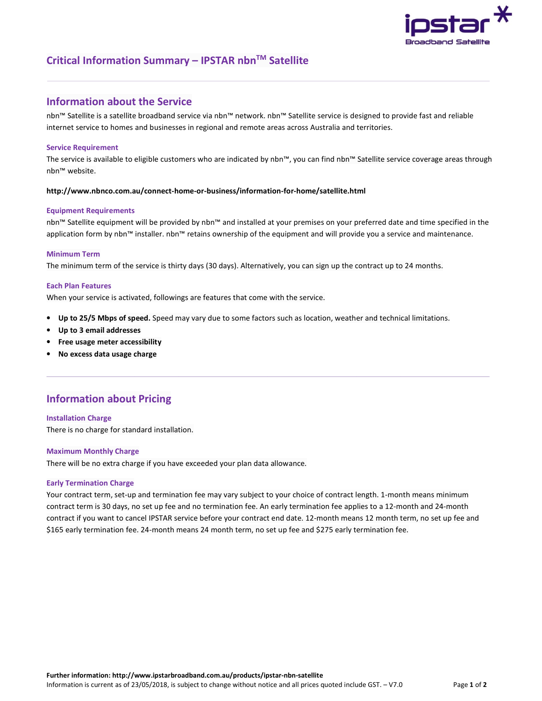

# **Critical Information Summary – IPSTAR nbnTM Satellite**

## **Information about the Service**

nbn™ Satellite is a satellite broadband service via nbn™ network. nbn™ Satellite service is designed to provide fast and reliable internet service to homes and businesses in regional and remote areas across Australia and territories.

### **Service Requirement**

The service is available to eligible customers who are indicated by nbn™, you can find nbn™ Satellite service coverage areas through nbn™ website.

### **http://www.nbnco.com.au/connect-home-or-business/information-for-home/satellite.html**

#### **Equipment Requirements**

nbn™ Satellite equipment will be provided by nbn™ and installed at your premises on your preferred date and time specified in the application form by nbn™ installer. nbn™ retains ownership of the equipment and will provide you a service and maintenance.

### **Minimum Term**

The minimum term of the service is thirty days (30 days). Alternatively, you can sign up the contract up to 24 months.

### **Each Plan Features**

When your service is activated, followings are features that come with the service.

- **Up to 25/5 Mbps of speed.** Speed may vary due to some factors such as location, weather and technical limitations.
- **Up to 3 email addresses**
- **Free usage meter accessibility**
- **No excess data usage charge**

# **Information about Pricing**

**Installation Charge**  There is no charge for standard installation.

#### **Maximum Monthly Charge**

There will be no extra charge if you have exceeded your plan data allowance.

#### **Early Termination Charge**

Your contract term, set-up and termination fee may vary subject to your choice of contract length. 1-month means minimum contract term is 30 days, no set up fee and no termination fee. An early termination fee applies to a 12-month and 24-month contract if you want to cancel IPSTAR service before your contract end date. 12-month means 12 month term, no set up fee and \$165 early termination fee. 24-month means 24 month term, no set up fee and \$275 early termination fee.